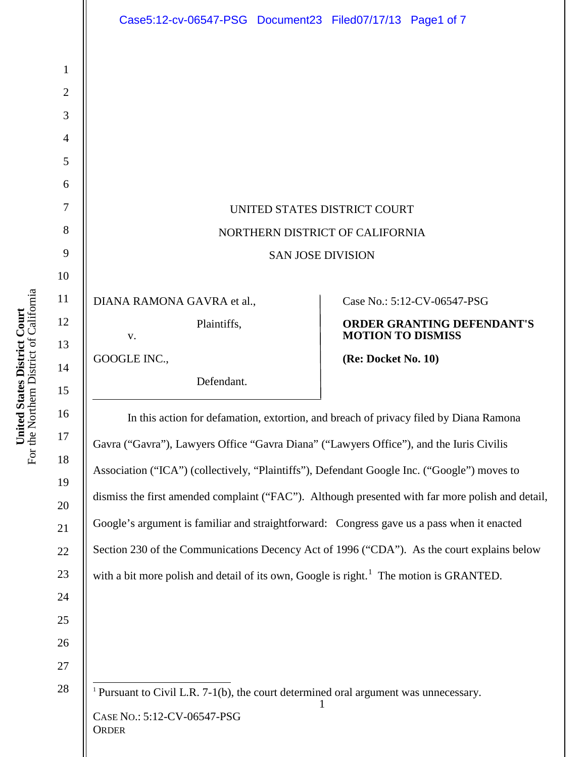|                                                                      | Case5:12-cv-06547-PSG Document23 Filed07/17/13 Page1 of 7                                                                                                                                                                                                                                                                                                                                                                                                                                                                                                                                                                                                                             |                                   |
|----------------------------------------------------------------------|---------------------------------------------------------------------------------------------------------------------------------------------------------------------------------------------------------------------------------------------------------------------------------------------------------------------------------------------------------------------------------------------------------------------------------------------------------------------------------------------------------------------------------------------------------------------------------------------------------------------------------------------------------------------------------------|-----------------------------------|
| $\mathbf{1}$<br>$\overline{2}$<br>3<br>$\overline{4}$<br>5           |                                                                                                                                                                                                                                                                                                                                                                                                                                                                                                                                                                                                                                                                                       |                                   |
| 6                                                                    |                                                                                                                                                                                                                                                                                                                                                                                                                                                                                                                                                                                                                                                                                       |                                   |
| $\overline{7}$                                                       | UNITED STATES DISTRICT COURT                                                                                                                                                                                                                                                                                                                                                                                                                                                                                                                                                                                                                                                          |                                   |
| 8                                                                    | NORTHERN DISTRICT OF CALIFORNIA                                                                                                                                                                                                                                                                                                                                                                                                                                                                                                                                                                                                                                                       |                                   |
| 9                                                                    | <b>SAN JOSE DIVISION</b>                                                                                                                                                                                                                                                                                                                                                                                                                                                                                                                                                                                                                                                              |                                   |
| 10<br>11                                                             |                                                                                                                                                                                                                                                                                                                                                                                                                                                                                                                                                                                                                                                                                       | Case No.: 5:12-CV-06547-PSG       |
| 12                                                                   | DIANA RAMONA GAVRA et al.,<br>Plaintiffs,                                                                                                                                                                                                                                                                                                                                                                                                                                                                                                                                                                                                                                             | <b>ORDER GRANTING DEFENDANT'S</b> |
| 13                                                                   | V.                                                                                                                                                                                                                                                                                                                                                                                                                                                                                                                                                                                                                                                                                    | <b>MOTION TO DISMISS</b>          |
| 14                                                                   | GOOGLE INC.,                                                                                                                                                                                                                                                                                                                                                                                                                                                                                                                                                                                                                                                                          | (Re: Docket No. 10)               |
| 15                                                                   | Defendant.                                                                                                                                                                                                                                                                                                                                                                                                                                                                                                                                                                                                                                                                            |                                   |
| 16<br>17<br>18<br>19<br>20<br>21<br>22<br>23<br>24<br>25<br>26<br>27 | In this action for defamation, extortion, and breach of privacy filed by Diana Ramona<br>Gavra ("Gavra"), Lawyers Office "Gavra Diana" ("Lawyers Office"), and the Iuris Civilis<br>Association ("ICA") (collectively, "Plaintiffs"), Defendant Google Inc. ("Google") moves to<br>dismiss the first amended complaint ("FAC"). Although presented with far more polish and detail,<br>Google's argument is familiar and straightforward: Congress gave us a pass when it enacted<br>Section 230 of the Communications Decency Act of 1996 ("CDA"). As the court explains below<br>with a bit more polish and detail of its own, Google is right. <sup>1</sup> The motion is GRANTED. |                                   |
| $28\,$                                                               | <sup>1</sup> Pursuant to Civil L.R. $7-1(b)$ , the court determined oral argument was unnecessary.<br>CASE No.: 5:12-CV-06547-PSG<br>ORDER                                                                                                                                                                                                                                                                                                                                                                                                                                                                                                                                            |                                   |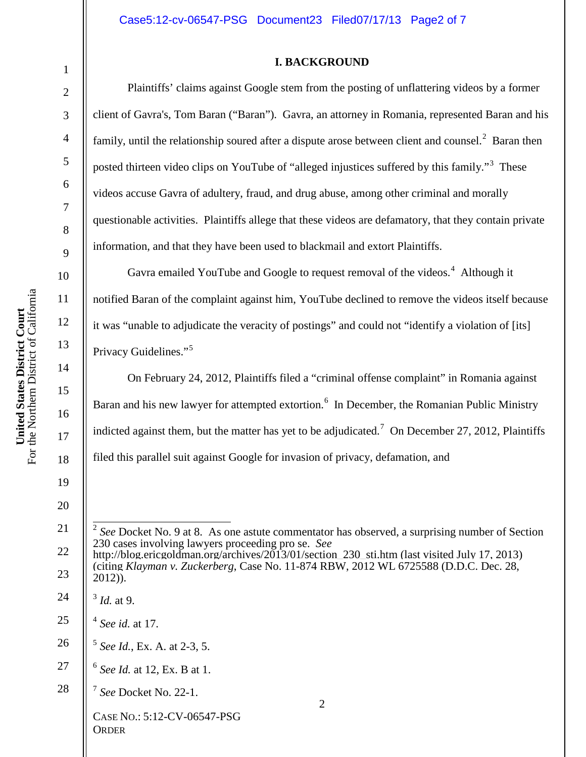#### **I. BACKGROUND**

Plaintiffs' claims against Google stem from the posting of unflattering videos by a former client of Gavra's, Tom Baran ("Baran"). Gavra, an attorney in Romania, represented Baran and his family, until the relationship soured after a dispute arose between client and counsel.<sup>2</sup> Baran then posted thirteen video clips on YouTube of "alleged injustices suffered by this family."<sup>3</sup> These videos accuse Gavra of adultery, fraud, and drug abuse, among other criminal and morally questionable activities. Plaintiffs allege that these videos are defamatory, that they contain private information, and that they have been used to blackmail and extort Plaintiffs.

Gavra emailed YouTube and Google to request removal of the videos.<sup>4</sup> Although it notified Baran of the complaint against him, YouTube declined to remove the videos itself because it was "unable to adjudicate the veracity of postings" and could not "identify a violation of [its] Privacy Guidelines."<sup>5</sup>

On February 24, 2012, Plaintiffs filed a "criminal offense complaint" in Romania against Baran and his new lawyer for attempted extortion.<sup>6</sup> In December, the Romanian Public Ministry indicted against them, but the matter has yet to be adjudicated.<sup>7</sup> On December 27, 2012, Plaintiffs filed this parallel suit against Google for invasion of privacy, defamation, and

United States District Court<br>For the Northern District of California For the Northern District of California **United States District Court** 15 16 17 18

1

2

3

4

5

6

7

8

9

10

11

12

13

<sup>2</sup> CASE NO.: 5:12-CV-06547-PSG **ORDER** 19 20 21 22 23 24 25 26 27 28 2 *See* Docket No. 9 at 8. As one astute commentator has observed, a surprising number of Section 230 cases involving lawyers proceeding pro se. *See*  http://blog.ericgoldman.org/archives/2013/01/section 230 sti.htm (last visited July 17, 2013) (citing *Klayman v. Zuckerberg*, Case No. 11-874 RBW, 2012 WL 6725588 (D.D.C. Dec. 28, 2012)). <sup>3</sup> *Id.* at 9. <sup>4</sup> *See id.* at 17. <sup>5</sup> *See Id.*, Ex. A. at 2-3, 5. <sup>6</sup> *See Id.* at 12, Ex. B at 1. <sup>7</sup> *See* Docket No. 22-1.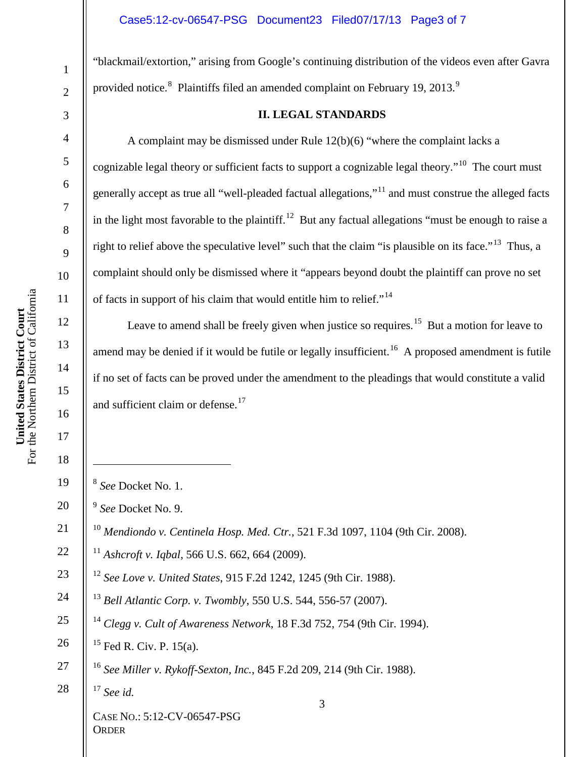### Case5:12-cv-06547-PSG Document23 Filed07/17/13 Page3 of 7

"blackmail/extortion," arising from Google's continuing distribution of the videos even after Gavra provided notice. $^{8}$  Plaintiffs filed an amended complaint on February 19, 2013.<sup>9</sup>

#### **II. LEGAL STANDARDS**

A complaint may be dismissed under Rule 12(b)(6) "where the complaint lacks a cognizable legal theory or sufficient facts to support a cognizable legal theory."10 The court must generally accept as true all "well-pleaded factual allegations,"<sup>11</sup> and must construe the alleged facts in the light most favorable to the plaintiff.<sup>12</sup> But any factual allegations "must be enough to raise a right to relief above the speculative level" such that the claim "is plausible on its face."13 Thus, a complaint should only be dismissed where it "appears beyond doubt the plaintiff can prove no set of facts in support of his claim that would entitle him to relief."<sup>14</sup>

Leave to amend shall be freely given when justice so requires.<sup>15</sup> But a motion for leave to amend may be denied if it would be futile or legally insufficient.<sup>16</sup> A proposed amendment is futile if no set of facts can be proved under the amendment to the pleadings that would constitute a valid and sufficient claim or defense.<sup>17</sup>

- *See* Docket No. 1.
- *See* Docket No. 9.
- *Mendiondo v. Centinela Hosp. Med. Ctr.*, 521 F.3d 1097, 1104 (9th Cir. 2008).
- *Ashcroft v. Iqbal*, 566 U.S. 662, 664 (2009).
- *See Love v. United States*, 915 F.2d 1242, 1245 (9th Cir. 1988).
	- *Bell Atlantic Corp. v. Twombly*, 550 U.S. 544, 556-57 (2007).
- *Clegg v. Cult of Awareness Network*, 18 F.3d 752, 754 (9th Cir. 1994).
	- Fed R. Civ. P. 15(a).
- *See Miller v. Rykoff-Sexton, Inc.*, 845 F.2d 209, 214 (9th Cir. 1988).
- *See id.*

CASE NO.: 5:12-CV-06547-PSG **ORDER** 

 $\overline{a}$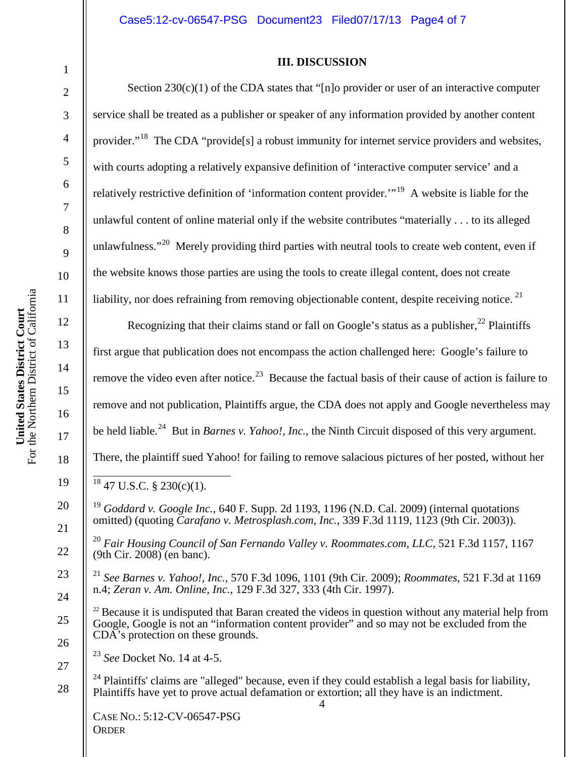### **III. DISCUSSION**

Section  $230(c)(1)$  of the CDA states that "[n]o provider or user of an interactive computer

3 service shall be treated as a publisher or speaker of any information provided by another content 4 5 6 7 8 9 10 United States District Court<br>the Northern District of California For the Northern District of California 11 **United States District Court** 12 13 14 15 16 17  $For$ 

18

19

20

21

22

23

24

25

26

27

28

1

2

4 CASE NO.: 5:12-CV-06547-PSG **ORDER** provider."<sup>18</sup> The CDA "provide<sup>[5]</sup> a robust immunity for internet service providers and websites, with courts adopting a relatively expansive definition of 'interactive computer service' and a relatively restrictive definition of 'information content provider.'"19 A website is liable for the unlawful content of online material only if the website contributes "materially . . . to its alleged unlawfulness."<sup>20</sup> Merely providing third parties with neutral tools to create web content, even if the website knows those parties are using the tools to create illegal content, does not create liability, nor does refraining from removing objectionable content, despite receiving notice.  $2<sup>1</sup>$ Recognizing that their claims stand or fall on Google's status as a publisher,  $^{22}$  Plaintiffs first argue that publication does not encompass the action challenged here: Google's failure to remove the video even after notice.<sup>23</sup> Because the factual basis of their cause of action is failure to remove and not publication, Plaintiffs argue, the CDA does not apply and Google nevertheless may be held liable.<sup>24</sup> But in *Barnes v. Yahoo!, Inc.*, the Ninth Circuit disposed of this very argument. There, the plaintiff sued Yahoo! for failing to remove salacious pictures of her posted, without her  $18\,47\,$  U.S.C. § 230(c)(1). <sup>19</sup> *Goddard v. Google Inc.*, 640 F. Supp. 2d 1193, 1196 (N.D. Cal. 2009) (internal quotations omitted) (quoting *Carafano v. Metrosplash.com, Inc.*, 339 F.3d 1119, 1123 (9th Cir. 2003)). <sup>20</sup> *Fair Housing Council of San Fernando Valley v. Roommates.com, LLC*, 521 F.3d 1157, 1167 (9th Cir. 2008) (en banc). <sup>21</sup> *See Barnes v. Yahoo!, Inc.*, 570 F.3d 1096, 1101 (9th Cir. 2009); *Roommates*, 521 F.3d at 1169 n.4; *Zeran v. Am. Online, Inc.*, 129 F.3d 327, 333 (4th Cir. 1997).  $22$  Because it is undisputed that Baran created the videos in question without any material help from Google, Google is not an "information content provider" and so may not be excluded from the CDA's protection on these grounds. <sup>23</sup> *See* Docket No. 14 at 4-5.  $^{24}$  Plaintiffs' claims are "alleged" because, even if they could establish a legal basis for liability, Plaintiffs have yet to prove actual defamation or extortion; all they have is an indictment.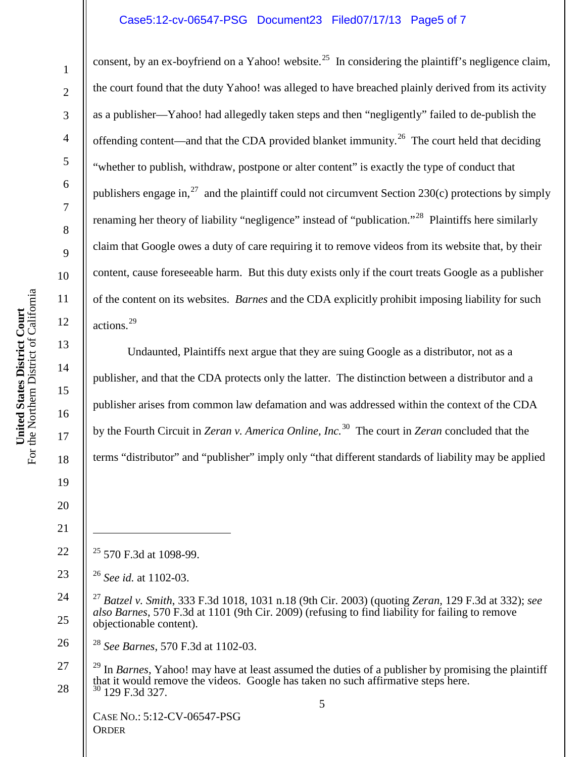### Case5:12-cv-06547-PSG Document23 Filed07/17/13 Page5 of 7

consent, by an ex-boyfriend on a Yahoo! website.<sup>25</sup> In considering the plaintiff's negligence claim, the court found that the duty Yahoo! was alleged to have breached plainly derived from its activity as a publisher—Yahoo! had allegedly taken steps and then "negligently" failed to de-publish the offending content—and that the CDA provided blanket immunity.<sup>26</sup> The court held that deciding "whether to publish, withdraw, postpone or alter content" is exactly the type of conduct that publishers engage in,<sup>27</sup> and the plaintiff could not circumvent Section 230(c) protections by simply renaming her theory of liability "negligence" instead of "publication."<sup>28</sup> Plaintiffs here similarly claim that Google owes a duty of care requiring it to remove videos from its website that, by their content, cause foreseeable harm. But this duty exists only if the court treats Google as a publisher of the content on its websites. *Barnes* and the CDA explicitly prohibit imposing liability for such actions. 29

Undaunted, Plaintiffs next argue that they are suing Google as a distributor, not as a publisher, and that the CDA protects only the latter. The distinction between a distributor and a publisher arises from common law defamation and was addressed within the context of the CDA by the Fourth Circuit in *Zeran v. America Online, Inc.*<sup>30</sup> The court in *Zeran* concluded that the terms "distributor" and "publisher" imply only "that different standards of liability may be applied

22  $25$  570 F.3d at 1098-99.

<sup>28</sup> *See Barnes*, 570 F.3d at 1102-03.

5 <sup>29</sup> In *Barnes*, Yahoo! may have at least assumed the duties of a publisher by promising the plaintiff that it would remove the videos. Google has taken no such affirmative steps here.  $30$  129 F.3d 327.

CASE NO.: 5:12-CV-06547-PSG **ORDER** 

1

2

3

4

5

6

7

8

9

10

11

12

13

14

15

16

17

18

19

20

21

 $\overline{a}$ 

26

27

<sup>23</sup> <sup>26</sup> *See id.* at 1102-03.

<sup>24</sup> 25 <sup>27</sup> *Batzel v. Smith*, 333 F.3d 1018, 1031 n.18 (9th Cir. 2003) (quoting *Zeran*, 129 F.3d at 332); *see also Barnes*, 570 F.3d at 1101 (9th Cir. 2009) (refusing to find liability for failing to remove objectionable content).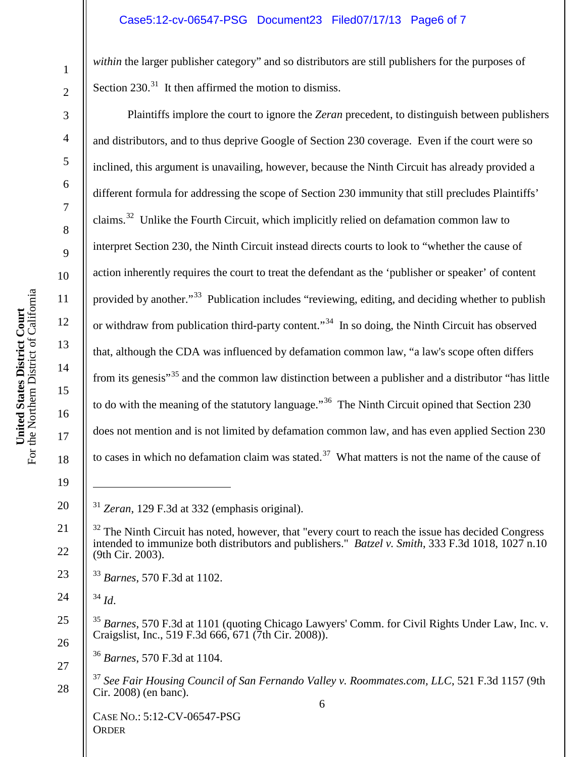### Case5:12-cv-06547-PSG Document23 Filed07/17/13 Page6 of 7

*within* the larger publisher category" and so distributors are still publishers for the purposes of Section  $230.<sup>31</sup>$  It then affirmed the motion to dismiss.

Plaintiffs implore the court to ignore the *Zeran* precedent, to distinguish between publishers and distributors, and to thus deprive Google of Section 230 coverage. Even if the court were so inclined, this argument is unavailing, however, because the Ninth Circuit has already provided a different formula for addressing the scope of Section 230 immunity that still precludes Plaintiffs' claims.<sup>32</sup> Unlike the Fourth Circuit, which implicitly relied on defamation common law to interpret Section 230, the Ninth Circuit instead directs courts to look to "whether the cause of action inherently requires the court to treat the defendant as the 'publisher or speaker' of content provided by another."<sup>33</sup> Publication includes "reviewing, editing, and deciding whether to publish or withdraw from publication third-party content."<sup>34</sup> In so doing, the Ninth Circuit has observed that, although the CDA was influenced by defamation common law, "a law's scope often differs from its genesis<sup>35</sup> and the common law distinction between a publisher and a distributor "has little" to do with the meaning of the statutory language."<sup>36</sup> The Ninth Circuit opined that Section 230 does not mention and is not limited by defamation common law, and has even applied Section 230 to cases in which no defamation claim was stated.<sup>37</sup> What matters is not the name of the cause of

<sup>31</sup> *Zeran*, 129 F.3d at 332 (emphasis original).

<sup>34</sup> *Id*.

 $\overline{a}$ 

<sup>36</sup> *Barnes*, 570 F.3d at 1104.

<sup>37</sup> *See Fair Housing Council of San Fernando Valley v. Roommates.com, LLC*, 521 F.3d 1157 (9th Cir. 2008) (en banc).

CASE NO.: 5:12-CV-06547-PSG **ORDER** 

1

2

3

4

5

6

7

8

9

10

11

12

13

14

15

16

17

18

19

20

21

24

25

26

27

<sup>22</sup>  $32$  The Ninth Circuit has noted, however, that "every court to reach the issue has decided Congress" intended to immunize both distributors and publishers." *Batzel v. Smith*, 333 F.3d 1018, 1027 n.10 (9th Cir. 2003).

<sup>23</sup> <sup>33</sup> *Barnes*, 570 F.3d at 1102.

<sup>35</sup> *Barnes*, 570 F.3d at 1101 (quoting Chicago Lawyers' Comm. for Civil Rights Under Law, Inc. v. Craigslist, Inc., 519 F.3d 666, 671 (7th Cir. 2008)).